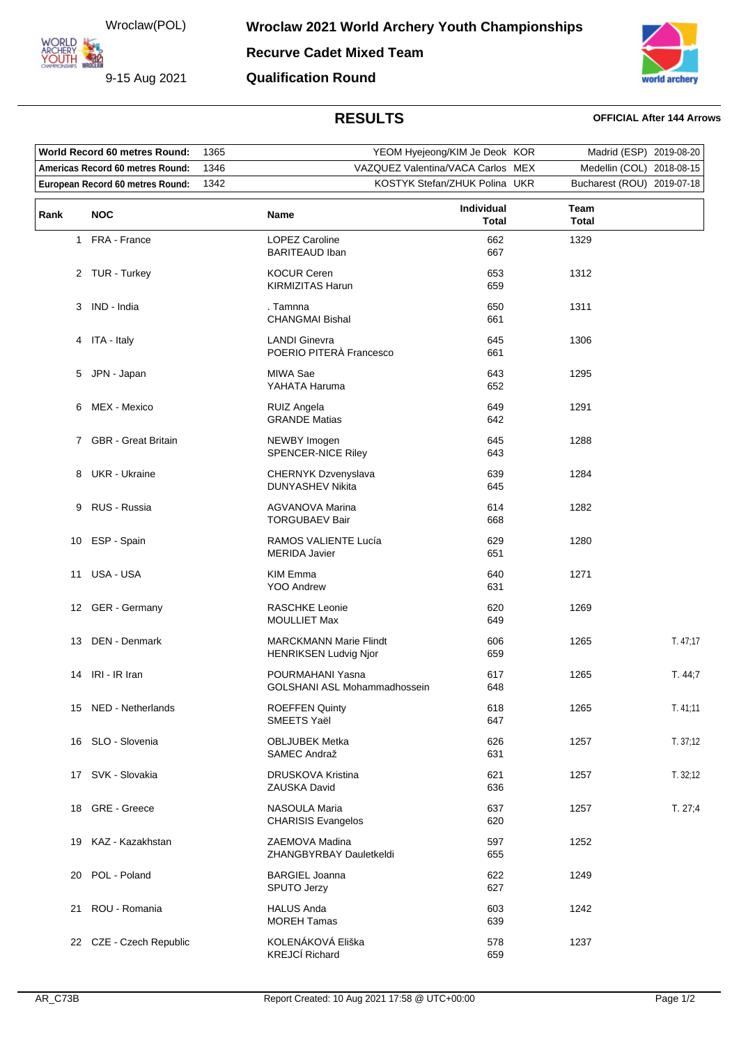Wroclaw(POL)

9-15 Aug 2021

**ARCHERY<br>YOUTH 422** 

**Recurve Cadet Mixed Team**

**Qualification Round**



## **RESULTS OFFICIAL After 144 Arrows**

| World Record 60 metres Round:            |                         | 1365 |                                                               | YEOM Hyejeong/KIM Je Deok KOR |                           | Madrid (ESP) 2019-08-20    |           |
|------------------------------------------|-------------------------|------|---------------------------------------------------------------|-------------------------------|---------------------------|----------------------------|-----------|
| Americas Record 60 metres Round:<br>1346 |                         |      | VAZQUEZ Valentina/VACA Carlos MEX                             |                               | Medellin (COL) 2018-08-15 |                            |           |
| 1342<br>European Record 60 metres Round: |                         |      | KOSTYK Stefan/ZHUK Polina UKR                                 |                               |                           | Bucharest (ROU) 2019-07-18 |           |
| Rank                                     | NOC                     |      | Name                                                          | Individual<br>Total           | Team<br><b>Total</b>      |                            |           |
|                                          | 1 FRA - France          |      | <b>LOPEZ Caroline</b><br><b>BARITEAUD Iban</b>                | 662<br>667                    | 1329                      |                            |           |
|                                          | 2 TUR - Turkey          |      | <b>KOCUR Ceren</b><br><b>KIRMIZITAS Harun</b>                 | 653<br>659                    | 1312                      |                            |           |
|                                          | 3 IND - India           |      | . Tamnna<br><b>CHANGMAI Bishal</b>                            | 650<br>661                    | 1311                      |                            |           |
|                                          | 4 ITA - Italy           |      | <b>LANDI Ginevra</b><br>POERIO PITERÀ Francesco               | 645<br>661                    | 1306                      |                            |           |
|                                          | 5 JPN - Japan           |      | MIWA Sae<br>YAHATA Haruma                                     | 643<br>652                    | 1295                      |                            |           |
| 6                                        | MEX - Mexico            |      | <b>RUIZ Angela</b><br><b>GRANDE Matias</b>                    | 649<br>642                    | 1291                      |                            |           |
|                                          | 7 GBR - Great Britain   |      | NEWBY Imogen<br>SPENCER-NICE Riley                            | 645<br>643                    | 1288                      |                            |           |
| 8                                        | <b>UKR</b> - Ukraine    |      | <b>CHERNYK Dzvenyslava</b><br><b>DUNYASHEV Nikita</b>         | 639<br>645                    | 1284                      |                            |           |
| 9                                        | RUS - Russia            |      | <b>AGVANOVA Marina</b><br><b>TORGUBAEV Bair</b>               | 614<br>668                    | 1282                      |                            |           |
| 10                                       | ESP - Spain             |      | RAMOS VALIENTE Lucía<br><b>MERIDA Javier</b>                  | 629<br>651                    | 1280                      |                            |           |
| 11                                       | USA - USA               |      | KIM Emma<br><b>YOO Andrew</b>                                 | 640<br>631                    | 1271                      |                            |           |
|                                          | 12 GER - Germany        |      | <b>RASCHKE Leonie</b><br><b>MOULLIET Max</b>                  | 620<br>649                    | 1269                      |                            |           |
| 13                                       | DEN - Denmark           |      | <b>MARCKMANN Marie Flindt</b><br><b>HENRIKSEN Ludvig Njor</b> | 606<br>659                    | 1265                      |                            | T.47;17   |
| 14                                       | IRI - IR Iran           |      | POURMAHANI Yasna<br>GOLSHANI ASL Mohammadhossein              | 617<br>648                    | 1265                      |                            | T. 44,7   |
|                                          | 15 NED - Netherlands    |      | <b>ROEFFEN Quinty</b><br>SMEETS Yaël                          | 618<br>647                    | 1265                      |                            | T.41:11   |
|                                          | 16 SLO - Slovenia       |      | <b>OBLJUBEK Metka</b><br>SAMEC Andraž                         | 626<br>631                    | 1257                      |                            | T. 37; 12 |
|                                          | 17 SVK - Slovakia       |      | <b>DRUSKOVA Kristina</b><br>ZAUSKA David                      | 621<br>636                    | 1257                      |                            | T. 32; 12 |
| 18                                       | GRE - Greece            |      | NASOULA Maria<br><b>CHARISIS Evangelos</b>                    | 637<br>620                    | 1257                      |                            | T. 27;4   |
| 19                                       | KAZ - Kazakhstan        |      | ZAEMOVA Madina<br>ZHANGBYRBAY Dauletkeldi                     | 597<br>655                    | 1252                      |                            |           |
| 20                                       | POL - Poland            |      | <b>BARGIEL Joanna</b><br>SPUTO Jerzy                          | 622<br>627                    | 1249                      |                            |           |
| 21                                       | ROU - Romania           |      | <b>HALUS Anda</b><br><b>MOREH Tamas</b>                       | 603<br>639                    | 1242                      |                            |           |
|                                          | 22 CZE - Czech Republic |      | KOLENÁKOVÁ Eliška<br><b>KREJCÍ Richard</b>                    | 578<br>659                    | 1237                      |                            |           |